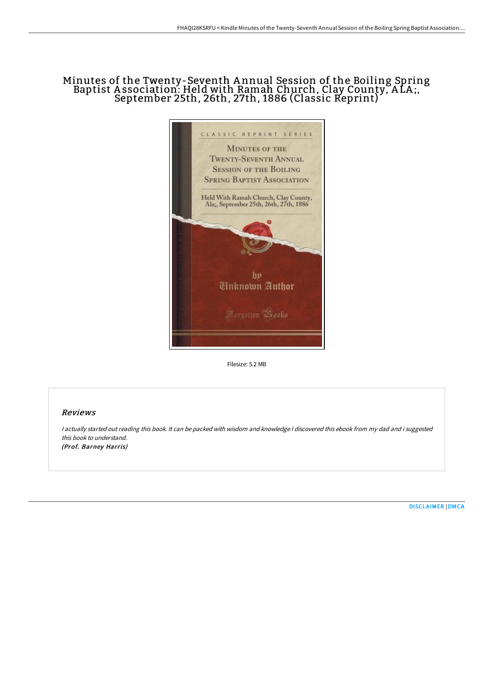# Minutes of the Twenty-Seventh A nnual Session of the Boiling Spring Baptist A ssociation: Held with Ramah Church, Clay County, A LA ;, September 25th, 26th, 27th, 1886 (Classic Reprint)



Filesize: 5.2 MB

## Reviews

<sup>I</sup> actually started out reading this book. It can be packed with wisdom and knowledge <sup>I</sup> discovered this ebook from my dad and i suggested this book to understand. (Prof. Barney Harris)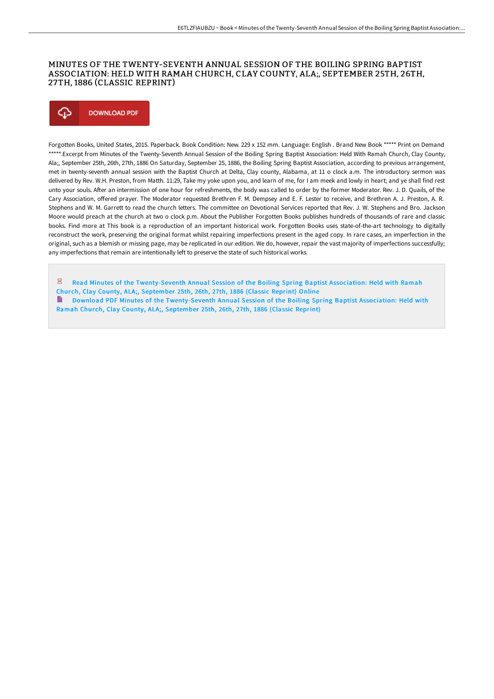### MINUTES OF THE TWENTY-SEVENTH ANNUAL SESSION OF THE BOILING SPRING BAPTIST ASSOCIATION: HELD WITH RAMAH CHURCH, CLAY COUNTY, ALA;, SEPTEMBER 25TH, 26TH, 27TH, 1886 (CLASSIC REPRINT)



Forgotten Books, United States, 2015. Paperback. Book Condition: New. 229 x 152 mm. Language: English . Brand New Book \*\*\*\*\* Print on Demand \*\*\*\*\*.Excerpt from Minutes of the Twenty-Seventh Annual Session of the Boiling Spring Baptist Association: Held With Ramah Church, Clay County, Ala;, September 25th, 26th, 27th, 1886 On Saturday, September 25, 1886, the Boiling Spring Baptist Association, according to previous arrangement, met in twenty-seventh annual session with the Baptist Church at Delta, Clay county, Alabama, at 11 o clock a.m. The introductory sermon was delivered by Rev. W.H. Preston, from Matth. 11:29, Take my yoke upon you, and learn of me, for I am meek and lowly in heart; and ye shall find rest unto your souls. After an intermission of one hour for refreshments, the body was called to order by the former Moderator. Rev. J. D. Quails, of the Cary Association, offered prayer. The Moderator requested Brethren F. M. Dempsey and E. F. Lester to receive, and Brethren A. J. Preston, A. R. Stephens and W. M. Garrett to read the church letters. The committee on Devotional Services reported that Rev. J. W. Stephens and Bro. Jackson Moore would preach at the church at two o clock p.m. About the Publisher Forgotten Books publishes hundreds of thousands of rare and classic books. Find more at This book is a reproduction of an important historical work. Forgotten Books uses state-of-the-art technology to digitally reconstruct the work, preserving the original format whilst repairing imperfections present in the aged copy. In rare cases, an imperfection in the original, such as a blemish or missing page, may be replicated in our edition. We do, however, repair the vast majority of imperfections successfully; any imperfections that remain are intentionally left to preserve the state of such historical works.

Read Minutes of the [Twenty-Seventh](http://techno-pub.tech/minutes-of-the-twenty-seventh-annual-session-of-.html) Annual Session of the Boiling Spring Baptist Association: Held with Ramah Church, Clay County, ALA;, September 25th, 26th, 27th, 1886 (Classic Reprint) Online Download PDF Minutes of the [Twenty-Seventh](http://techno-pub.tech/minutes-of-the-twenty-seventh-annual-session-of-.html) Annual Session of the Boiling Spring Baptist Association: Held with Ramah Church, Clay County, ALA;, September 25th, 26th, 27th, 1886 (Classic Reprint)